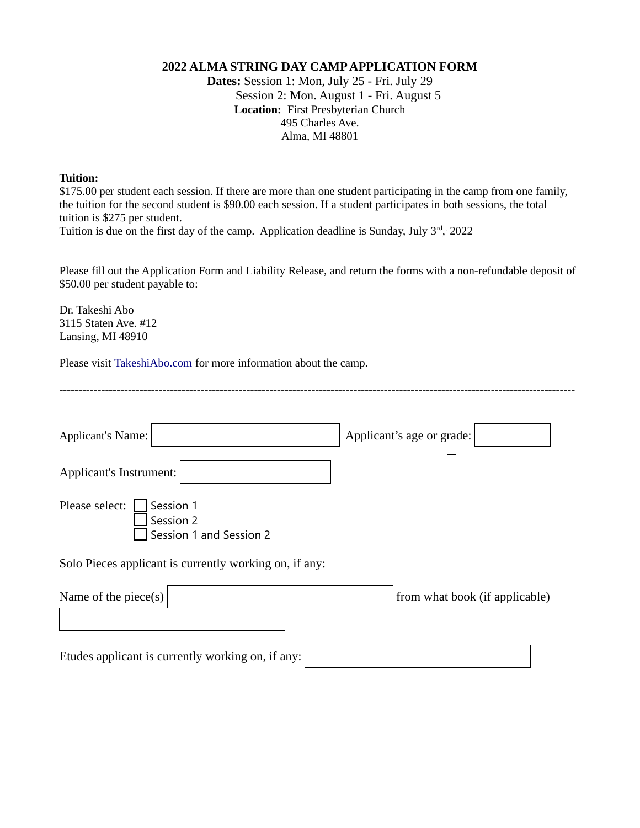## **2022 ALMA STRING DAY CAMP APPLICATION FORM**

**Dates:** Session 1: Mon, July 25 - Fri. July 29 Session 2: Mon. August 1 - Fri. August 5 **Location:** First Presbyterian Church 495 Charles Ave. Alma, MI 48801

## **Tuition:**

\$175.00 per student each session. If there are more than one student participating in the camp from one family, the tuition for the second student is \$90.00 each session. If a student participates in both sessions, the total tuition is \$275 per student.

Tuition is due on the first day of the camp. Application deadline is Sunday, July  $3<sup>rd</sup>$ , 2022

Please fill out the Application Form and Liability Release, and return the forms with a non-refundable deposit of \$50.00 per student payable to:

Dr. Takeshi Abo 3115 Staten Ave. #12 Lansing, MI 48910

Please visit [TakeshiAbo.com](http://www.TakeshiAbo.com/) for more information about the camp.

| Applicant's Name:                                                   | Applicant's age or grade:      |
|---------------------------------------------------------------------|--------------------------------|
| Applicant's Instrument:                                             |                                |
| Please select:<br>Session 1<br>Session 2<br>Session 1 and Session 2 |                                |
| Solo Pieces applicant is currently working on, if any:              |                                |
| Name of the piece $(s)$                                             | from what book (if applicable) |
| Etudes applicant is currently working on, if any:                   |                                |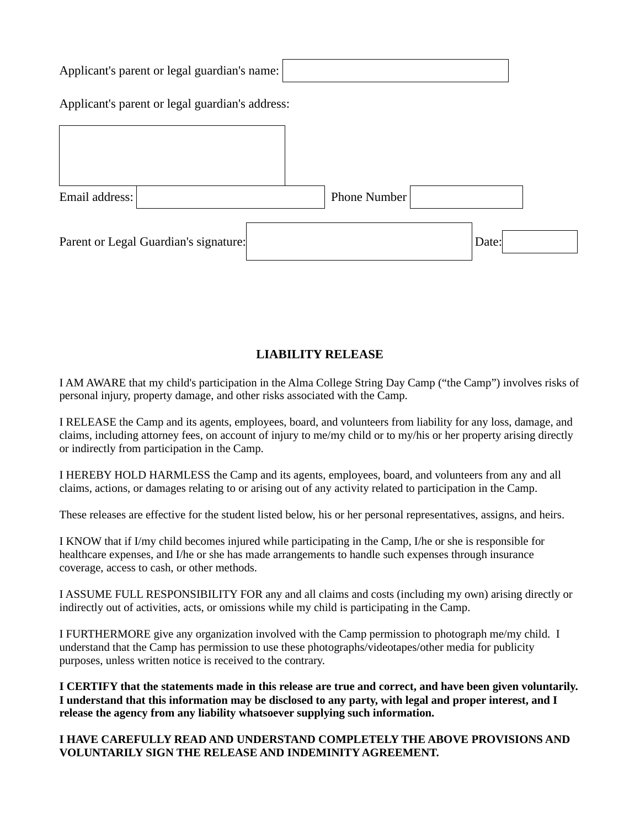| Applicant's parent or legal guardian's name:    |                     |
|-------------------------------------------------|---------------------|
| Applicant's parent or legal guardian's address: |                     |
|                                                 |                     |
|                                                 |                     |
| Email address:                                  | <b>Phone Number</b> |
| Parent or Legal Guardian's signature:           | Date:               |

## **LIABILITY RELEASE**

I AM AWARE that my child's participation in the Alma College String Day Camp ("the Camp") involves risks of personal injury, property damage, and other risks associated with the Camp.

I RELEASE the Camp and its agents, employees, board, and volunteers from liability for any loss, damage, and claims, including attorney fees, on account of injury to me/my child or to my/his or her property arising directly or indirectly from participation in the Camp.

I HEREBY HOLD HARMLESS the Camp and its agents, employees, board, and volunteers from any and all claims, actions, or damages relating to or arising out of any activity related to participation in the Camp.

These releases are effective for the student listed below, his or her personal representatives, assigns, and heirs.

I KNOW that if I/my child becomes injured while participating in the Camp, I/he or she is responsible for healthcare expenses, and I/he or she has made arrangements to handle such expenses through insurance coverage, access to cash, or other methods.

I ASSUME FULL RESPONSIBILITY FOR any and all claims and costs (including my own) arising directly or indirectly out of activities, acts, or omissions while my child is participating in the Camp.

I FURTHERMORE give any organization involved with the Camp permission to photograph me/my child. I understand that the Camp has permission to use these photographs/videotapes/other media for publicity purposes, unless written notice is received to the contrary.

**I CERTIFY that the statements made in this release are true and correct, and have been given voluntarily. I understand that this information may be disclosed to any party, with legal and proper interest, and I release the agency from any liability whatsoever supplying such information.**

**I HAVE CAREFULLY READ AND UNDERSTAND COMPLETELY THE ABOVE PROVISIONS AND VOLUNTARILY SIGN THE RELEASE AND INDEMINITY AGREEMENT.**